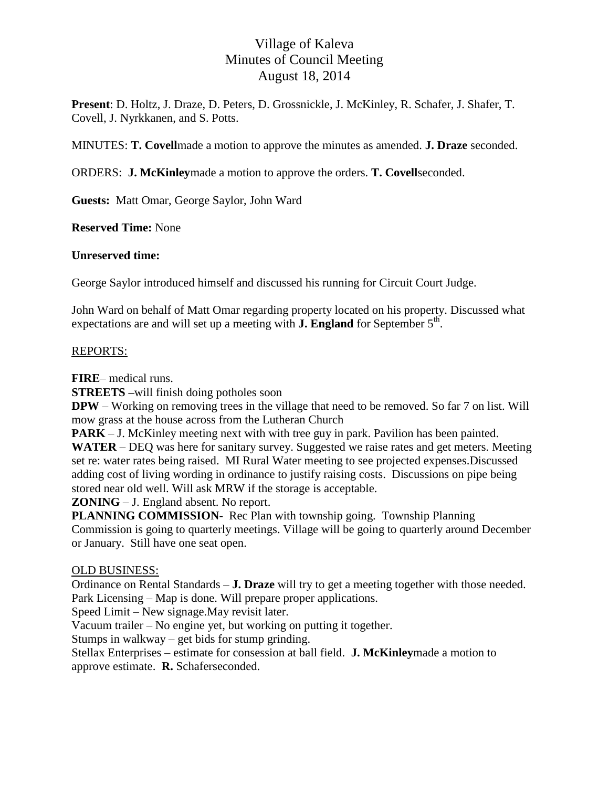# Village of Kaleva Minutes of Council Meeting August 18, 2014

**Present**: D. Holtz, J. Draze, D. Peters, D. Grossnickle, J. McKinley, R. Schafer, J. Shafer, T. Covell, J. Nyrkkanen, and S. Potts.

MINUTES: **T. Covell**made a motion to approve the minutes as amended. **J. Draze** seconded.

ORDERS: **J. McKinley**made a motion to approve the orders. **T. Covell**seconded.

**Guests:** Matt Omar, George Saylor, John Ward

**Reserved Time:** None

#### **Unreserved time:**

George Saylor introduced himself and discussed his running for Circuit Court Judge.

John Ward on behalf of Matt Omar regarding property located on his property. Discussed what expectations are and will set up a meeting with **J. England** for September  $5<sup>th</sup>$ .

#### REPORTS:

**FIRE**– medical runs.

**STREETS –**will finish doing potholes soon

**DPW** – Working on removing trees in the village that need to be removed. So far 7 on list. Will mow grass at the house across from the Lutheran Church

**PARK** – J. McKinley meeting next with with tree guy in park. Pavilion has been painted. **WATER** – DEQ was here for sanitary survey. Suggested we raise rates and get meters. Meeting set re: water rates being raised. MI Rural Water meeting to see projected expenses.Discussed adding cost of living wording in ordinance to justify raising costs. Discussions on pipe being stored near old well. Will ask MRW if the storage is acceptable.

**ZONING** – J. England absent. No report.

**PLANNING COMMISSION**- Rec Plan with township going. Township Planning Commission is going to quarterly meetings. Village will be going to quarterly around December or January. Still have one seat open.

#### OLD BUSINESS:

Ordinance on Rental Standards – **J. Draze** will try to get a meeting together with those needed. Park Licensing – Map is done. Will prepare proper applications.

Speed Limit – New signage.May revisit later.

Vacuum trailer – No engine yet, but working on putting it together.

Stumps in walkway – get bids for stump grinding.

Stellax Enterprises – estimate for consession at ball field. **J. McKinley**made a motion to approve estimate. **R.** Schaferseconded.